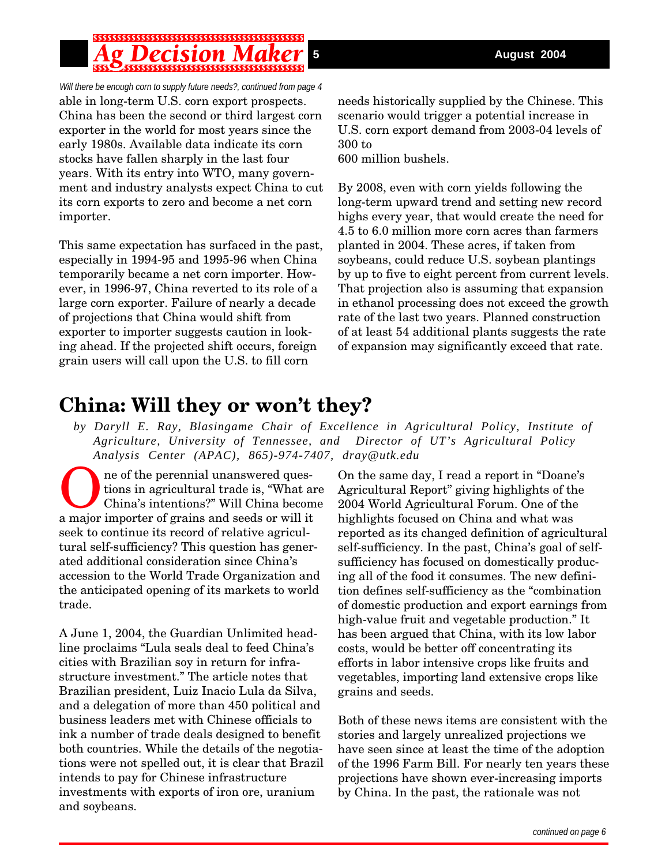*Will there be enough corn to supply future needs?, continued from page 4* able in long-term U.S. corn export prospects. China has been the second or third largest corn exporter in the world for most years since the early 1980s. Available data indicate its corn stocks have fallen sharply in the last four years. With its entry into WTO, many government and industry analysts expect China to cut its corn exports to zero and become a net corn importer.

This same expectation has surfaced in the past, especially in 1994-95 and 1995-96 when China temporarily became a net corn importer. However, in 1996-97, China reverted to its role of a large corn exporter. Failure of nearly a decade of projections that China would shift from exporter to importer suggests caution in looking ahead. If the projected shift occurs, foreign grain users will call upon the U.S. to fill corn

needs historically supplied by the Chinese. This scenario would trigger a potential increase in U.S. corn export demand from 2003-04 levels of 300 to

600 million bushels.

By 2008, even with corn yields following the long-term upward trend and setting new record highs every year, that would create the need for 4.5 to 6.0 million more corn acres than farmers planted in 2004. These acres, if taken from soybeans, could reduce U.S. soybean plantings by up to five to eight percent from current levels. That projection also is assuming that expansion in ethanol processing does not exceed the growth rate of the last two years. Planned construction of at least 54 additional plants suggests the rate of expansion may significantly exceed that rate.

## **China: Will they or won't they?**

*by Daryll E. Ray, Blasingame Chair of Excellence in Agricultural Policy, Institute of Agriculture, University of Tennessee, and Director of UT's Agricultural Policy Analysis Center (APAC), 865)-974-7407, dray@utk.edu*

ne of the perennial unanswered questions in agricultural trade is, "What are China's intentions?" Will China become a major importer of grains and seeds or will it seek to continue its record of relative agricultural self-sufficiency? This question has generated additional consideration since China's accession to the World Trade Organization and the anticipated opening of its markets to world trade.

A June 1, 2004, the Guardian Unlimited headline proclaims "Lula seals deal to feed China's cities with Brazilian soy in return for infrastructure investment." The article notes that Brazilian president, Luiz Inacio Lula da Silva, and a delegation of more than 450 political and business leaders met with Chinese officials to ink a number of trade deals designed to benefit both countries. While the details of the negotiations were not spelled out, it is clear that Brazil intends to pay for Chinese infrastructure investments with exports of iron ore, uranium and soybeans.

On the same day, I read a report in "Doane's Agricultural Report" giving highlights of the 2004 World Agricultural Forum. One of the highlights focused on China and what was reported as its changed definition of agricultural self-sufficiency. In the past, China's goal of selfsufficiency has focused on domestically producing all of the food it consumes. The new definition defines self-sufficiency as the "combination of domestic production and export earnings from high-value fruit and vegetable production." It has been argued that China, with its low labor costs, would be better off concentrating its efforts in labor intensive crops like fruits and vegetables, importing land extensive crops like grains and seeds.

Both of these news items are consistent with the stories and largely unrealized projections we have seen since at least the time of the adoption of the 1996 Farm Bill. For nearly ten years these projections have shown ever-increasing imports by China. In the past, the rationale was not